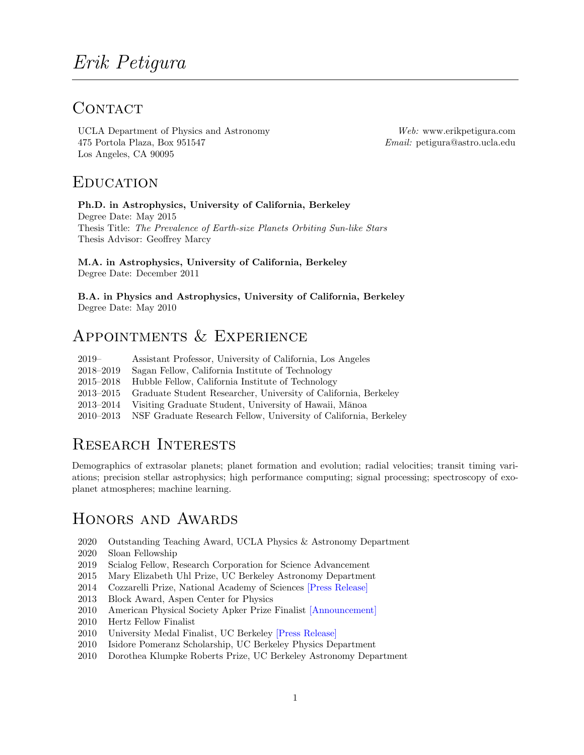# CONTACT

UCLA Department of Physics and Astronomy Web: www.erikpetigura.com 475 Portola Plaza, Box 951547 Email: petigura@astro.ucla.edu Los Angeles, CA 90095

### **EDUCATION**

### Ph.D. in Astrophysics, University of California, Berkeley

Degree Date: May 2015 Thesis Title: The Prevalence of Earth-size Planets Orbiting Sun-like Stars Thesis Advisor: Geoffrey Marcy

### M.A. in Astrophysics, University of California, Berkeley Degree Date: December 2011

B.A. in Physics and Astrophysics, University of California, Berkeley Degree Date: May 2010

## APPOINTMENTS  $&$  EXPERIENCE

| $2019-$       | Assistant Professor, University of California, Los Angeles                 |
|---------------|----------------------------------------------------------------------------|
| 2018-2019     | Sagan Fellow, California Institute of Technology                           |
| $2015 - 2018$ | Hubble Fellow, California Institute of Technology                          |
| $2013 - 2015$ | Graduate Student Researcher, University of California, Berkeley            |
| 2013–2014     | Visiting Graduate Student, University of Hawaii, Mānoa                     |
|               | 2010–2013 NSF Graduate Research Fellow, University of California, Berkeley |

# Research Interests

Demographics of extrasolar planets; planet formation and evolution; radial velocities; transit timing variations; precision stellar astrophysics; high performance computing; signal processing; spectroscopy of exoplanet atmospheres; machine learning.

### Honors and Awards

- 2020 Outstanding Teaching Award, UCLA Physics & Astronomy Department
- 2020 Sloan Fellowship
- 2019 Scialog Fellow, Research Corporation for Science Advancement
- 2015 Mary Elizabeth Uhl Prize, UC Berkeley Astronomy Department
- 2014 Cozzarelli Prize, National Academy of Sciences [\[Press Release\]](http://www.nasonline.org/news-and-multimedia/news/2013-cozzarelli-prize.html)
- 2013 Block Award, Aspen Center for Physics
- 2010 American Physical Society Apker Prize Finalist [\[Announcement\]](https://www.aspenphys.org/physicists/winter/block.html)
- 2010 Hertz Fellow Finalist
- 2010 University Medal Finalist, UC Berkeley [\[Press Release\]](http://news.berkeley.edu/2010/05/11/finalists/)
- 2010 Isidore Pomeranz Scholarship, UC Berkeley Physics Department
- 2010 Dorothea Klumpke Roberts Prize, UC Berkeley Astronomy Department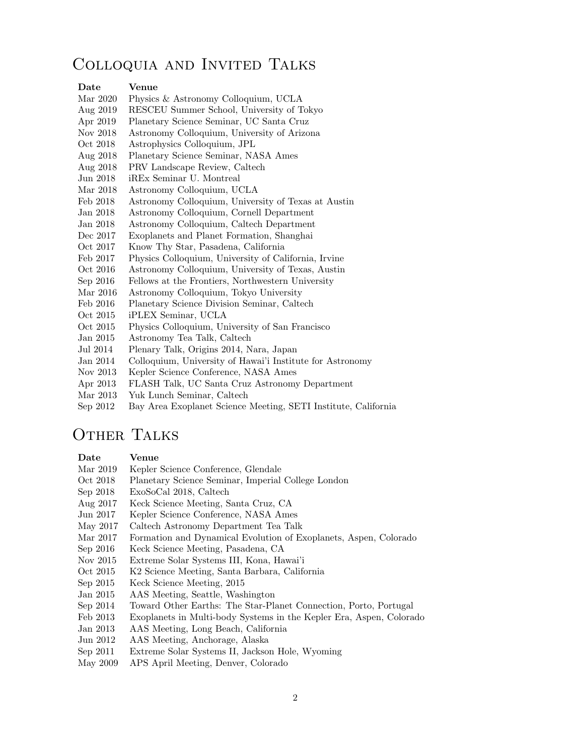### Colloquia and Invited Talks

#### Date Venue

- Mar 2020 Physics & Astronomy Colloquium, UCLA
- Aug 2019 RESCEU Summer School, University of Tokyo
- Apr 2019 Planetary Science Seminar, UC Santa Cruz
- Nov 2018 Astronomy Colloquium, University of Arizona
- Oct 2018 Astrophysics Colloquium, JPL
- Aug 2018 Planetary Science Seminar, NASA Ames
- Aug 2018 PRV Landscape Review, Caltech
- Jun 2018 iREx Seminar U. Montreal
- Mar 2018 Astronomy Colloquium, UCLA
- Feb 2018 Astronomy Colloquium, University of Texas at Austin
- Jan 2018 Astronomy Colloquium, Cornell Department
- Jan 2018 Astronomy Colloquium, Caltech Department
- Dec 2017 Exoplanets and Planet Formation, Shanghai
- Oct 2017 Know Thy Star, Pasadena, California
- Feb 2017 Physics Colloquium, University of California, Irvine
- Oct 2016 Astronomy Colloquium, University of Texas, Austin
- Sep 2016 Fellows at the Frontiers, Northwestern University
- Mar 2016 Astronomy Colloquium, Tokyo University
- Feb 2016 Planetary Science Division Seminar, Caltech
- Oct 2015 iPLEX Seminar, UCLA
- Oct 2015 Physics Colloquium, University of San Francisco
- Jan 2015 Astronomy Tea Talk, Caltech
- Jul 2014 Plenary Talk, Origins 2014, Nara, Japan
- Jan 2014 Colloquium, University of Hawai'i Institute for Astronomy
- Nov 2013 Kepler Science Conference, NASA Ames
- Apr 2013 FLASH Talk, UC Santa Cruz Astronomy Department
- Mar 2013 Yuk Lunch Seminar, Caltech
- Sep 2012 Bay Area Exoplanet Science Meeting, SETI Institute, California

### OTHER TALKS

#### Date Venue

- Mar 2019 Kepler Science Conference, Glendale
- Oct 2018 Planetary Science Seminar, Imperial College London
- Sep 2018 ExoSoCal 2018, Caltech
- Aug 2017 Keck Science Meeting, Santa Cruz, CA
- Jun 2017 Kepler Science Conference, NASA Ames
- May 2017 Caltech Astronomy Department Tea Talk
- Mar 2017 Formation and Dynamical Evolution of Exoplanets, Aspen, Colorado
- Sep 2016 Keck Science Meeting, Pasadena, CA
- Nov 2015 Extreme Solar Systems III, Kona, Hawai'i
- Oct 2015 K2 Science Meeting, Santa Barbara, California
- Sep 2015 Keck Science Meeting, 2015
- Jan 2015 AAS Meeting, Seattle, Washington
- Sep 2014 Toward Other Earths: The Star-Planet Connection, Porto, Portugal
- Feb 2013 Exoplanets in Multi-body Systems in the Kepler Era, Aspen, Colorado
- Jan 2013 AAS Meeting, Long Beach, California
- Jun 2012 AAS Meeting, Anchorage, Alaska
- Sep 2011 Extreme Solar Systems II, Jackson Hole, Wyoming
- May 2009 APS April Meeting, Denver, Colorado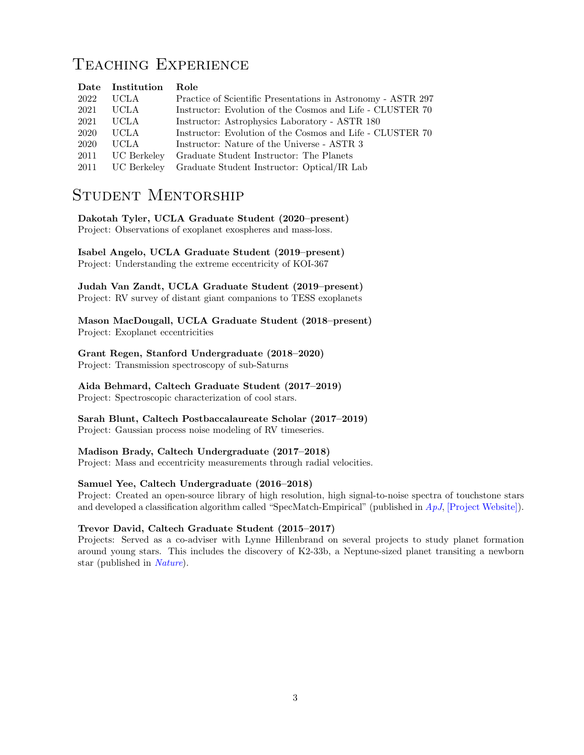## TEACHING EXPERIENCE

|      | Date Institution | Role                                                         |
|------|------------------|--------------------------------------------------------------|
| 2022 | UCLA.            | Practice of Scientific Presentations in Astronomy - ASTR 297 |
| 2021 | <b>UCLA</b>      | Instructor: Evolution of the Cosmos and Life - CLUSTER 70    |
| 2021 | UCLA             | Instructor: Astrophysics Laboratory - ASTR 180               |
| 2020 | <b>UCLA</b>      | Instructor: Evolution of the Cosmos and Life - CLUSTER 70    |
| 2020 | <b>UCLA</b>      | Instructor: Nature of the Universe - ASTR 3                  |
| 2011 | UC Berkeley      | Graduate Student Instructor: The Planets                     |
| 2011 | UC Berkeley      | Graduate Student Instructor: Optical/IR Lab                  |

# Student Mentorship

### Dakotah Tyler, UCLA Graduate Student (2020–present)

Project: Observations of exoplanet exospheres and mass-loss.

#### Isabel Angelo, UCLA Graduate Student (2019–present) Project: Understanding the extreme eccentricity of KOI-367

Judah Van Zandt, UCLA Graduate Student (2019–present) Project: RV survey of distant giant companions to TESS exoplanets

Mason MacDougall, UCLA Graduate Student (2018–present) Project: Exoplanet eccentricities

### Grant Regen, Stanford Undergraduate (2018–2020)

Project: Transmission spectroscopy of sub-Saturns

### Aida Behmard, Caltech Graduate Student (2017–2019)

Project: Spectroscopic characterization of cool stars.

### Sarah Blunt, Caltech Postbaccalaureate Scholar (2017–2019)

Project: Gaussian process noise modeling of RV timeseries.

### Madison Brady, Caltech Undergraduate (2017–2018)

Project: Mass and eccentricity measurements through radial velocities.

### Samuel Yee, Caltech Undergraduate (2016–2018)

Project: Created an open-source library of high resolution, high signal-to-noise spectra of touchstone stars and developed a classification algorithm called "SpecMatch-Empirical" (published in  $ApJ$ , [\[Project Website\]\)](http://specmatch-emp.readthedocs.io/en/latest/index.html).

### Trevor David, Caltech Graduate Student (2015–2017)

Projects: Served as a co-adviser with Lynne Hillenbrand on several projects to study planet formation around young stars. This includes the discovery of K2-33b, a Neptune-sized planet transiting a newborn star (published in [Nature](http://www.nature.com/nature/journal/v534/n7609/full/nature18293.html)).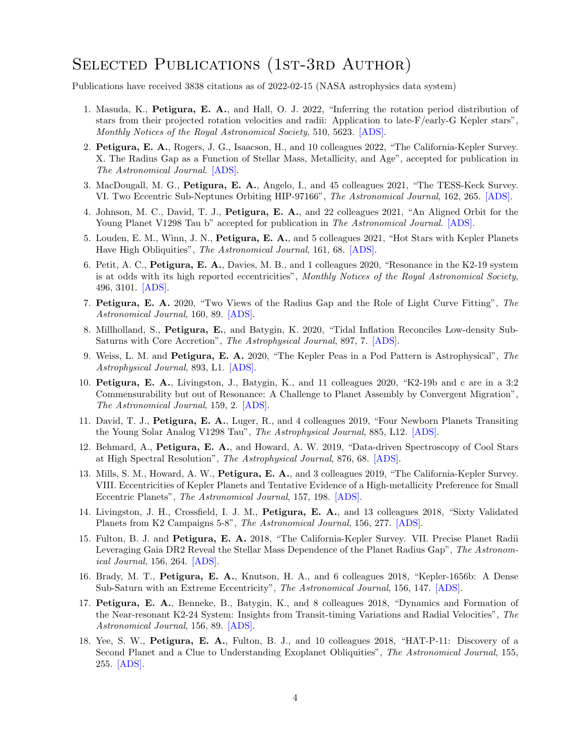## SELECTED PUBLICATIONS (1ST-3RD AUTHOR)

Publications have received 3838 citations as of 2022-02-15 (NASA astrophysics data system)

- 1. Masuda, K., Petigura, E. A., and Hall, O. J. 2022, "Inferring the rotation period distribution of stars from their projected rotation velocities and radii: Application to late-F/early-G Kepler stars", Monthly Notices of the Royal Astronomical Society, 510, 5623. [\[ADS\].](https://ui.adsabs.harvard.edu/abs/2022MNRAS.510.5623M)
- 2. Petigura, E. A., Rogers, J. G., Isaacson, H., and 10 colleagues 2022, "The California-Kepler Survey. X. The Radius Gap as a Function of Stellar Mass, Metallicity, and Age", accepted for publication in The Astronomical Journal. [\[ADS\].](https://ui.adsabs.harvard.edu/abs/2022arXiv220110020P)
- 3. MacDougall, M. G., Petigura, E. A., Angelo, I., and 45 colleagues 2021, "The TESS-Keck Survey. VI. Two Eccentric Sub-Neptunes Orbiting HIP-97166", The Astronomical Journal, 162, 265. [\[ADS\].](https://ui.adsabs.harvard.edu/abs/2021AJ....162..265M)
- 4. Johnson, M. C., David, T. J., Petigura, E. A., and 22 colleagues 2021, "An Aligned Orbit for the Young Planet V1298 Tau b" accepted for publication in The Astronomical Journal. [\[ADS\].](https://ui.adsabs.harvard.edu/abs/2021arXiv211010707J)
- 5. Louden, E. M., Winn, J. N., Petigura, E. A., and 5 colleagues 2021, "Hot Stars with Kepler Planets Have High Obliquities", The Astronomical Journal, 161, 68. [\[ADS\].](https://ui.adsabs.harvard.edu/abs/2021AJ....161...68L)
- 6. Petit, A. C., Petigura, E. A., Davies, M. B., and 1 colleagues 2020, "Resonance in the K2-19 system is at odds with its high reported eccentricities", Monthly Notices of the Royal Astronomical Society, 496, 3101. [\[ADS\].](https://ui.adsabs.harvard.edu/abs/2020MNRAS.496.3101P)
- 7. Petigura, E. A. 2020, "Two Views of the Radius Gap and the Role of Light Curve Fitting", The Astronomical Journal, 160, 89. [\[ADS\].](https://ui.adsabs.harvard.edu/abs/2020AJ....160...89P)
- 8. Millholland, S., Petigura, E., and Batygin, K. 2020, "Tidal Inflation Reconciles Low-density Sub-Saturns with Core Accretion", The Astrophysical Journal, 897, 7. [\[ADS\].](https://ui.adsabs.harvard.edu/abs/2020ApJ...897....7M)
- 9. Weiss, L. M. and Petigura, E. A. 2020, "The Kepler Peas in a Pod Pattern is Astrophysical", The Astrophysical Journal, 893, L1. [\[ADS\].](https://ui.adsabs.harvard.edu/abs/2020ApJ...893L...1W)
- 10. Petigura, E. A., Livingston, J., Batygin, K., and 11 colleagues 2020, "K2-19b and c are in a 3:2 Commensurability but out of Resonance: A Challenge to Planet Assembly by Convergent Migration", The Astronomical Journal, 159, 2. [\[ADS\].](https://ui.adsabs.harvard.edu/abs/2020AJ....159....2P)
- 11. David, T. J., Petigura, E. A., Luger, R., and 4 colleagues 2019, "Four Newborn Planets Transiting the Young Solar Analog V1298 Tau", The Astrophysical Journal, 885, L12. [\[ADS\].](https://ui.adsabs.harvard.edu/abs/2019ApJ...885L..12D)
- 12. Behmard, A., Petigura, E. A., and Howard, A. W. 2019, "Data-driven Spectroscopy of Cool Stars at High Spectral Resolution", The Astrophysical Journal, 876, 68. [\[ADS\].](https://ui.adsabs.harvard.edu/abs/2019ApJ...876...68B)
- 13. Mills, S. M., Howard, A. W., Petigura, E. A., and 3 colleagues 2019, "The California-Kepler Survey. VIII. Eccentricities of Kepler Planets and Tentative Evidence of a High-metallicity Preference for Small Eccentric Planets", The Astronomical Journal, 157, 198. [\[ADS\].](https://ui.adsabs.harvard.edu/abs/2019AJ....157..198M)
- 14. Livingston, J. H., Crossfield, I. J. M., Petigura, E. A., and 13 colleagues 2018, "Sixty Validated Planets from K2 Campaigns 5-8", The Astronomical Journal, 156, 277. [\[ADS\].](https://ui.adsabs.harvard.edu/abs/2018AJ....156..277L)
- 15. Fulton, B. J. and Petigura, E. A. 2018, "The California-Kepler Survey. VII. Precise Planet Radii Leveraging Gaia DR2 Reveal the Stellar Mass Dependence of the Planet Radius Gap", The Astronomical Journal, 156, 264. [\[ADS\].](https://ui.adsabs.harvard.edu/abs/2018AJ....156..264F)
- 16. Brady, M. T., Petigura, E. A., Knutson, H. A., and 6 colleagues 2018, "Kepler-1656b: A Dense Sub-Saturn with an Extreme Eccentricity", The Astronomical Journal, 156, 147. [\[ADS\].](https://ui.adsabs.harvard.edu/abs/2018AJ....156..147B)
- 17. Petigura, E. A., Benneke, B., Batygin, K., and 8 colleagues 2018, "Dynamics and Formation of the Near-resonant K2-24 System: Insights from Transit-timing Variations and Radial Velocities", The Astronomical Journal, 156, 89. [\[ADS\].](https://ui.adsabs.harvard.edu/abs/2018AJ....156...89P)
- 18. Yee, S. W., Petigura, E. A., Fulton, B. J., and 10 colleagues 2018, "HAT-P-11: Discovery of a Second Planet and a Clue to Understanding Exoplanet Obliquities", The Astronomical Journal, 155, 255. [\[ADS\].](https://ui.adsabs.harvard.edu/abs/2018AJ....155..255Y)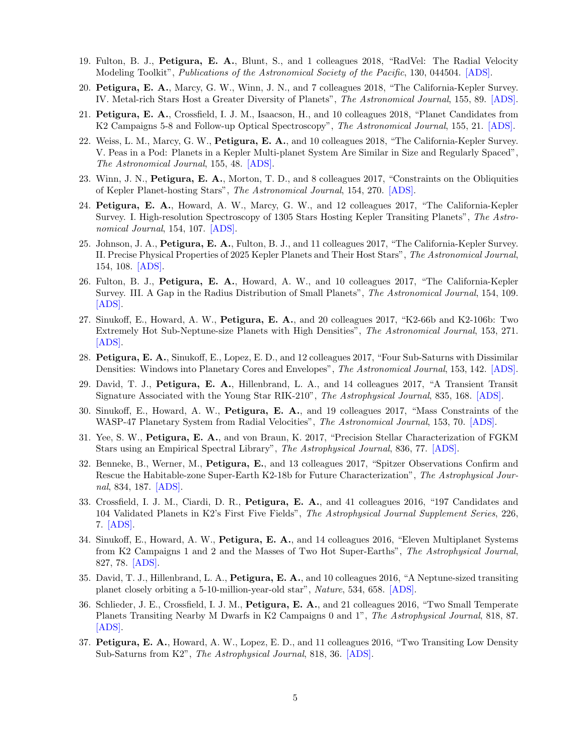- 19. Fulton, B. J., Petigura, E. A., Blunt, S., and 1 colleagues 2018, "RadVel: The Radial Velocity Modeling Toolkit", Publications of the Astronomical Society of the Pacific, 130, 044504. [\[ADS\].](https://ui.adsabs.harvard.edu/abs/2018PASP..130d4504F)
- 20. Petigura, E. A., Marcy, G. W., Winn, J. N., and 7 colleagues 2018, "The California-Kepler Survey. IV. Metal-rich Stars Host a Greater Diversity of Planets", The Astronomical Journal, 155, 89. [\[ADS\].](https://ui.adsabs.harvard.edu/abs/2018AJ....155...89P)
- 21. Petigura, E. A., Crossfield, I. J. M., Isaacson, H., and 10 colleagues 2018, "Planet Candidates from K2 Campaigns 5-8 and Follow-up Optical Spectroscopy", The Astronomical Journal, 155, 21. [\[ADS\].](https://ui.adsabs.harvard.edu/abs/2018AJ....155...21P)
- 22. Weiss, L. M., Marcy, G. W., Petigura, E. A., and 10 colleagues 2018, "The California-Kepler Survey. V. Peas in a Pod: Planets in a Kepler Multi-planet System Are Similar in Size and Regularly Spaced", The Astronomical Journal, 155, 48. [\[ADS\].](https://ui.adsabs.harvard.edu/abs/2018AJ....155...48W)
- 23. Winn, J. N., Petigura, E. A., Morton, T. D., and 8 colleagues 2017, "Constraints on the Obliquities of Kepler Planet-hosting Stars", The Astronomical Journal, 154, 270. [\[ADS\].](https://ui.adsabs.harvard.edu/abs/2017AJ....154..270W)
- 24. Petigura, E. A., Howard, A. W., Marcy, G. W., and 12 colleagues 2017, "The California-Kepler Survey. I. High-resolution Spectroscopy of 1305 Stars Hosting Kepler Transiting Planets", The Astronomical Journal, 154, 107. [\[ADS\].](https://ui.adsabs.harvard.edu/abs/2017AJ....154..107P)
- 25. Johnson, J. A., Petigura, E. A., Fulton, B. J., and 11 colleagues 2017, "The California-Kepler Survey. II. Precise Physical Properties of 2025 Kepler Planets and Their Host Stars", The Astronomical Journal, 154, 108. [\[ADS\].](https://ui.adsabs.harvard.edu/abs/2017AJ....154..108J)
- 26. Fulton, B. J., Petigura, E. A., Howard, A. W., and 10 colleagues 2017, "The California-Kepler Survey. III. A Gap in the Radius Distribution of Small Planets", The Astronomical Journal, 154, 109. [\[ADS\].](https://ui.adsabs.harvard.edu/abs/2017AJ....154..109F)
- 27. Sinukoff, E., Howard, A. W., Petigura, E. A., and 20 colleagues 2017, "K2-66b and K2-106b: Two Extremely Hot Sub-Neptune-size Planets with High Densities", The Astronomical Journal, 153, 271. [\[ADS\].](https://ui.adsabs.harvard.edu/abs/2017AJ....153..271S)
- 28. Petigura, E. A., Sinukoff, E., Lopez, E. D., and 12 colleagues 2017, "Four Sub-Saturns with Dissimilar Densities: Windows into Planetary Cores and Envelopes", The Astronomical Journal, 153, 142. [\[ADS\].](https://ui.adsabs.harvard.edu/abs/2017AJ....153..142P)
- 29. David, T. J., Petigura, E. A., Hillenbrand, L. A., and 14 colleagues 2017, "A Transient Transit Signature Associated with the Young Star RIK-210", The Astrophysical Journal, 835, 168. [\[ADS\].](https://ui.adsabs.harvard.edu/abs/2017ApJ...835..168D)
- 30. Sinukoff, E., Howard, A. W., Petigura, E. A., and 19 colleagues 2017, "Mass Constraints of the WASP-47 Planetary System from Radial Velocities", *The Astronomical Journal*, 153, 70. [\[ADS\].](https://ui.adsabs.harvard.edu/abs/2017AJ....153...70S)
- 31. Yee, S. W., Petigura, E. A., and von Braun, K. 2017, "Precision Stellar Characterization of FGKM Stars using an Empirical Spectral Library", The Astrophysical Journal, 836, 77. [\[ADS\].](https://ui.adsabs.harvard.edu/abs/2017ApJ...836...77Y)
- 32. Benneke, B., Werner, M., Petigura, E., and 13 colleagues 2017, "Spitzer Observations Confirm and Rescue the Habitable-zone Super-Earth K2-18b for Future Characterization", The Astrophysical Journal, 834, 187. [\[ADS\].](https://ui.adsabs.harvard.edu/abs/2017ApJ...834..187B)
- 33. Crossfield, I. J. M., Ciardi, D. R., Petigura, E. A., and 41 colleagues 2016, "197 Candidates and 104 Validated Planets in K2's First Five Fields", The Astrophysical Journal Supplement Series, 226, 7. [\[ADS\].](https://ui.adsabs.harvard.edu/abs/2016ApJS..226....7C)
- 34. Sinukoff, E., Howard, A. W., Petigura, E. A., and 14 colleagues 2016, "Eleven Multiplanet Systems from K2 Campaigns 1 and 2 and the Masses of Two Hot Super-Earths", The Astrophysical Journal, 827, 78. [\[ADS\].](https://ui.adsabs.harvard.edu/abs/2016ApJ...827...78S)
- 35. David, T. J., Hillenbrand, L. A., Petigura, E. A., and 10 colleagues 2016, "A Neptune-sized transiting planet closely orbiting a 5-10-million-year-old star", Nature, 534, 658. [\[ADS\].](https://ui.adsabs.harvard.edu/abs/2016Natur.534..658D)
- 36. Schlieder, J. E., Crossfield, I. J. M., Petigura, E. A., and 21 colleagues 2016, "Two Small Temperate Planets Transiting Nearby M Dwarfs in K2 Campaigns 0 and 1", The Astrophysical Journal, 818, 87. [\[ADS\].](https://ui.adsabs.harvard.edu/abs/2016ApJ...818...87S)
- 37. Petigura, E. A., Howard, A. W., Lopez, E. D., and 11 colleagues 2016, "Two Transiting Low Density Sub-Saturns from K2", The Astrophysical Journal, 818, 36. [\[ADS\].](https://ui.adsabs.harvard.edu/abs/2016ApJ...818...36P)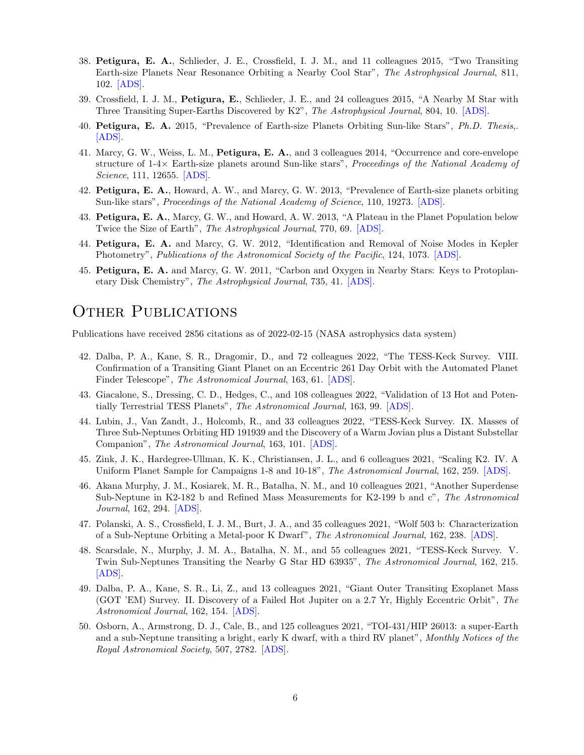- 38. Petigura, E. A., Schlieder, J. E., Crossfield, I. J. M., and 11 colleagues 2015, "Two Transiting Earth-size Planets Near Resonance Orbiting a Nearby Cool Star", The Astrophysical Journal, 811, 102. [\[ADS\].](https://ui.adsabs.harvard.edu/abs/2015ApJ...811..102P)
- 39. Crossfield, I. J. M., Petigura, E., Schlieder, J. E., and 24 colleagues 2015, "A Nearby M Star with Three Transiting Super-Earths Discovered by K2", The Astrophysical Journal, 804, 10. [\[ADS\].](https://ui.adsabs.harvard.edu/abs/2015ApJ...804...10C)
- 40. Petigura, E. A. 2015, "Prevalence of Earth-size Planets Orbiting Sun-like Stars", Ph.D. Thesis,. [\[ADS\].](https://ui.adsabs.harvard.edu/abs/2015PhDT........82P)
- 41. Marcy, G. W., Weiss, L. M., Petigura, E. A., and 3 colleagues 2014, "Occurrence and core-envelope structure of 1-4× Earth-size planets around Sun-like stars", Proceedings of the National Academy of Science, 111, 12655. [\[ADS\].](https://ui.adsabs.harvard.edu/abs/2014PNAS..11112655M)
- 42. Petigura, E. A., Howard, A. W., and Marcy, G. W. 2013, "Prevalence of Earth-size planets orbiting Sun-like stars", Proceedings of the National Academy of Science, 110, 19273. [\[ADS\].](https://ui.adsabs.harvard.edu/abs/2013PNAS..11019273P)
- 43. Petigura, E. A., Marcy, G. W., and Howard, A. W. 2013, "A Plateau in the Planet Population below Twice the Size of Earth", The Astrophysical Journal, 770, 69. [\[ADS\].](https://ui.adsabs.harvard.edu/abs/2013ApJ...770...69P)
- 44. Petigura, E. A. and Marcy, G. W. 2012, "Identification and Removal of Noise Modes in Kepler Photometry", Publications of the Astronomical Society of the Pacific, 124, 1073. [\[ADS\].](https://ui.adsabs.harvard.edu/abs/2012PASP..124.1073P)
- 45. Petigura, E. A. and Marcy, G. W. 2011, "Carbon and Oxygen in Nearby Stars: Keys to Protoplanetary Disk Chemistry", The Astrophysical Journal, 735, 41. [\[ADS\].](https://ui.adsabs.harvard.edu/abs/2011ApJ...735...41P)

### OTHER PUBLICATIONS

Publications have received 2856 citations as of 2022-02-15 (NASA astrophysics data system)

- 42. Dalba, P. A., Kane, S. R., Dragomir, D., and 72 colleagues 2022, "The TESS-Keck Survey. VIII. Confirmation of a Transiting Giant Planet on an Eccentric 261 Day Orbit with the Automated Planet Finder Telescope", The Astronomical Journal, 163, 61. [\[ADS\].](https://ui.adsabs.harvard.edu/abs/2022AJ....163...61D)
- 43. Giacalone, S., Dressing, C. D., Hedges, C., and 108 colleagues 2022, "Validation of 13 Hot and Potentially Terrestrial TESS Planets", The Astronomical Journal, 163, 99. [\[ADS\].](https://ui.adsabs.harvard.edu/abs/2022AJ....163...99G)
- 44. Lubin, J., Van Zandt, J., Holcomb, R., and 33 colleagues 2022, "TESS-Keck Survey. IX. Masses of Three Sub-Neptunes Orbiting HD 191939 and the Discovery of a Warm Jovian plus a Distant Substellar Companion", The Astronomical Journal, 163, 101. [\[ADS\].](https://ui.adsabs.harvard.edu/abs/2022AJ....163..101L)
- 45. Zink, J. K., Hardegree-Ullman, K. K., Christiansen, J. L., and 6 colleagues 2021, "Scaling K2. IV. A Uniform Planet Sample for Campaigns 1-8 and 10-18", The Astronomical Journal, 162, 259. [\[ADS\].](https://ui.adsabs.harvard.edu/abs/2021AJ....162..259Z)
- 46. Akana Murphy, J. M., Kosiarek, M. R., Batalha, N. M., and 10 colleagues 2021, "Another Superdense Sub-Neptune in K2-182 b and Refined Mass Measurements for K2-199 b and c", The Astronomical Journal, 162, 294. [\[ADS\].](https://ui.adsabs.harvard.edu/abs/2021AJ....162..294A)
- 47. Polanski, A. S., Crossfield, I. J. M., Burt, J. A., and 35 colleagues 2021, "Wolf 503 b: Characterization of a Sub-Neptune Orbiting a Metal-poor K Dwarf", The Astronomical Journal, 162, 238. [\[ADS\].](https://ui.adsabs.harvard.edu/abs/2021AJ....162..238P)
- 48. Scarsdale, N., Murphy, J. M. A., Batalha, N. M., and 55 colleagues 2021, "TESS-Keck Survey. V. Twin Sub-Neptunes Transiting the Nearby G Star HD 63935", The Astronomical Journal, 162, 215. [\[ADS\].](https://ui.adsabs.harvard.edu/abs/2021AJ....162..215S)
- 49. Dalba, P. A., Kane, S. R., Li, Z., and 13 colleagues 2021, "Giant Outer Transiting Exoplanet Mass (GOT 'EM) Survey. II. Discovery of a Failed Hot Jupiter on a 2.7 Yr, Highly Eccentric Orbit", The Astronomical Journal, 162, 154. [\[ADS\].](https://ui.adsabs.harvard.edu/abs/2021AJ....162..154D)
- 50. Osborn, A., Armstrong, D. J., Cale, B., and 125 colleagues 2021, "TOI-431/HIP 26013: a super-Earth and a sub-Neptune transiting a bright, early K dwarf, with a third RV planet", Monthly Notices of the Royal Astronomical Society, 507, 2782. [\[ADS\].](https://ui.adsabs.harvard.edu/abs/2021MNRAS.507.2782O)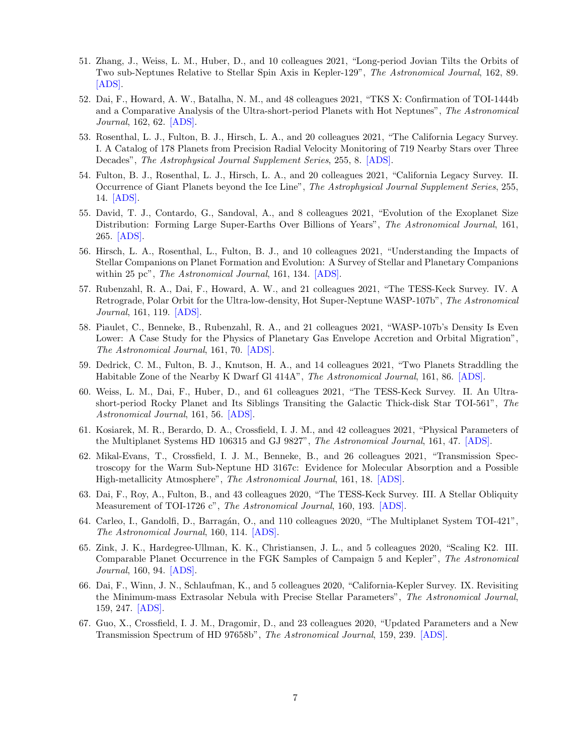- 51. Zhang, J., Weiss, L. M., Huber, D., and 10 colleagues 2021, "Long-period Jovian Tilts the Orbits of Two sub-Neptunes Relative to Stellar Spin Axis in Kepler-129", The Astronomical Journal, 162, 89. [\[ADS\].](https://ui.adsabs.harvard.edu/abs/2021AJ....162...89Z)
- 52. Dai, F., Howard, A. W., Batalha, N. M., and 48 colleagues 2021, "TKS X: Confirmation of TOI-1444b and a Comparative Analysis of the Ultra-short-period Planets with Hot Neptunes", The Astronomical Journal, 162, 62. [\[ADS\].](https://ui.adsabs.harvard.edu/abs/2021AJ....162...62D)
- 53. Rosenthal, L. J., Fulton, B. J., Hirsch, L. A., and 20 colleagues 2021, "The California Legacy Survey. I. A Catalog of 178 Planets from Precision Radial Velocity Monitoring of 719 Nearby Stars over Three Decades", The Astrophysical Journal Supplement Series, 255, 8. [\[ADS\].](https://ui.adsabs.harvard.edu/abs/2021ApJS..255....8R)
- 54. Fulton, B. J., Rosenthal, L. J., Hirsch, L. A., and 20 colleagues 2021, "California Legacy Survey. II. Occurrence of Giant Planets beyond the Ice Line", The Astrophysical Journal Supplement Series, 255, 14. [\[ADS\].](https://ui.adsabs.harvard.edu/abs/2021ApJS..255...14F)
- 55. David, T. J., Contardo, G., Sandoval, A., and 8 colleagues 2021, "Evolution of the Exoplanet Size Distribution: Forming Large Super-Earths Over Billions of Years", The Astronomical Journal, 161, 265. [\[ADS\].](https://ui.adsabs.harvard.edu/abs/2021AJ....161..265D)
- 56. Hirsch, L. A., Rosenthal, L., Fulton, B. J., and 10 colleagues 2021, "Understanding the Impacts of Stellar Companions on Planet Formation and Evolution: A Survey of Stellar and Planetary Companions within 25 pc", *The Astronomical Journal*, 161, 134. [\[ADS\].](https://ui.adsabs.harvard.edu/abs/2021AJ....161..134H)
- 57. Rubenzahl, R. A., Dai, F., Howard, A. W., and 21 colleagues 2021, "The TESS-Keck Survey. IV. A Retrograde, Polar Orbit for the Ultra-low-density, Hot Super-Neptune WASP-107b", The Astronomical Journal, 161, 119. [\[ADS\].](https://ui.adsabs.harvard.edu/abs/2021AJ....161..119R)
- 58. Piaulet, C., Benneke, B., Rubenzahl, R. A., and 21 colleagues 2021, "WASP-107b's Density Is Even Lower: A Case Study for the Physics of Planetary Gas Envelope Accretion and Orbital Migration", The Astronomical Journal, 161, 70. [\[ADS\].](https://ui.adsabs.harvard.edu/abs/2021AJ....161...70P)
- 59. Dedrick, C. M., Fulton, B. J., Knutson, H. A., and 14 colleagues 2021, "Two Planets Straddling the Habitable Zone of the Nearby K Dwarf Gl 414A", The Astronomical Journal, 161, 86. [\[ADS\].](https://ui.adsabs.harvard.edu/abs/2021AJ....161...86D)
- 60. Weiss, L. M., Dai, F., Huber, D., and 61 colleagues 2021, "The TESS-Keck Survey. II. An Ultrashort-period Rocky Planet and Its Siblings Transiting the Galactic Thick-disk Star TOI-561", The Astronomical Journal, 161, 56. [\[ADS\].](https://ui.adsabs.harvard.edu/abs/2021AJ....161...56W)
- 61. Kosiarek, M. R., Berardo, D. A., Crossfield, I. J. M., and 42 colleagues 2021, "Physical Parameters of the Multiplanet Systems HD 106315 and GJ 9827", The Astronomical Journal, 161, 47. [\[ADS\].](https://ui.adsabs.harvard.edu/abs/2021AJ....161...47K)
- 62. Mikal-Evans, T., Crossfield, I. J. M., Benneke, B., and 26 colleagues 2021, "Transmission Spectroscopy for the Warm Sub-Neptune HD 3167c: Evidence for Molecular Absorption and a Possible High-metallicity Atmosphere", The Astronomical Journal, 161, 18. [\[ADS\].](https://ui.adsabs.harvard.edu/abs/2021AJ....161...18M)
- 63. Dai, F., Roy, A., Fulton, B., and 43 colleagues 2020, "The TESS-Keck Survey. III. A Stellar Obliquity Measurement of TOI-1726 c", The Astronomical Journal, 160, 193. [\[ADS\].](https://ui.adsabs.harvard.edu/abs/2020AJ....160..193D)
- 64. Carleo, I., Gandolfi, D., Barragán, O., and 110 colleagues 2020, "The Multiplanet System TOI-421", The Astronomical Journal, 160, 114. [\[ADS\].](https://ui.adsabs.harvard.edu/abs/2020AJ....160..114C)
- 65. Zink, J. K., Hardegree-Ullman, K. K., Christiansen, J. L., and 5 colleagues 2020, "Scaling K2. III. Comparable Planet Occurrence in the FGK Samples of Campaign 5 and Kepler", The Astronomical Journal, 160, 94. [\[ADS\].](https://ui.adsabs.harvard.edu/abs/2020AJ....160...94Z)
- 66. Dai, F., Winn, J. N., Schlaufman, K., and 5 colleagues 2020, "California-Kepler Survey. IX. Revisiting the Minimum-mass Extrasolar Nebula with Precise Stellar Parameters", The Astronomical Journal, 159, 247. [\[ADS\].](https://ui.adsabs.harvard.edu/abs/2020AJ....159..247D)
- 67. Guo, X., Crossfield, I. J. M., Dragomir, D., and 23 colleagues 2020, "Updated Parameters and a New Transmission Spectrum of HD 97658b", The Astronomical Journal, 159, 239. [\[ADS\].](https://ui.adsabs.harvard.edu/abs/2020AJ....159..239G)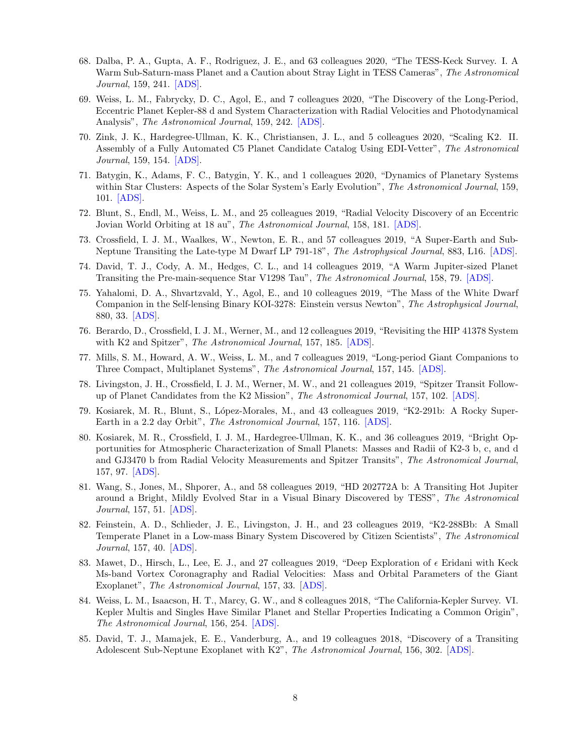- 68. Dalba, P. A., Gupta, A. F., Rodriguez, J. E., and 63 colleagues 2020, "The TESS-Keck Survey. I. A Warm Sub-Saturn-mass Planet and a Caution about Stray Light in TESS Cameras", The Astronomical Journal, 159, 241. [\[ADS\].](https://ui.adsabs.harvard.edu/abs/2020AJ....159..241D)
- 69. Weiss, L. M., Fabrycky, D. C., Agol, E., and 7 colleagues 2020, "The Discovery of the Long-Period, Eccentric Planet Kepler-88 d and System Characterization with Radial Velocities and Photodynamical Analysis", The Astronomical Journal, 159, 242. [\[ADS\].](https://ui.adsabs.harvard.edu/abs/2020AJ....159..242W)
- 70. Zink, J. K., Hardegree-Ullman, K. K., Christiansen, J. L., and 5 colleagues 2020, "Scaling K2. II. Assembly of a Fully Automated C5 Planet Candidate Catalog Using EDI-Vetter", The Astronomical Journal, 159, 154. [\[ADS\].](https://ui.adsabs.harvard.edu/abs/2020AJ....159..154Z)
- 71. Batygin, K., Adams, F. C., Batygin, Y. K., and 1 colleagues 2020, "Dynamics of Planetary Systems within Star Clusters: Aspects of the Solar System's Early Evolution", The Astronomical Journal, 159, 101. [\[ADS\].](https://ui.adsabs.harvard.edu/abs/2020AJ....159..101B)
- 72. Blunt, S., Endl, M., Weiss, L. M., and 25 colleagues 2019, "Radial Velocity Discovery of an Eccentric Jovian World Orbiting at 18 au", The Astronomical Journal, 158, 181. [\[ADS\].](https://ui.adsabs.harvard.edu/abs/2019AJ....158..181B)
- 73. Crossfield, I. J. M., Waalkes, W., Newton, E. R., and 57 colleagues 2019, "A Super-Earth and Sub-Neptune Transiting the Late-type M Dwarf LP 791-18", The Astrophysical Journal, 883, L16. [\[ADS\].](https://ui.adsabs.harvard.edu/abs/2019ApJ...883L..16C)
- 74. David, T. J., Cody, A. M., Hedges, C. L., and 14 colleagues 2019, "A Warm Jupiter-sized Planet Transiting the Pre-main-sequence Star V1298 Tau", The Astronomical Journal, 158, 79. [\[ADS\].](https://ui.adsabs.harvard.edu/abs/2019AJ....158...79D)
- 75. Yahalomi, D. A., Shvartzvald, Y., Agol, E., and 10 colleagues 2019, "The Mass of the White Dwarf Companion in the Self-lensing Binary KOI-3278: Einstein versus Newton", The Astrophysical Journal, 880, 33. [\[ADS\].](https://ui.adsabs.harvard.edu/abs/2019ApJ...880...33Y)
- 76. Berardo, D., Crossfield, I. J. M., Werner, M., and 12 colleagues 2019, "Revisiting the HIP 41378 System with K2 and Spitzer", *The Astronomical Journal*, 157, 185. [\[ADS\].](https://ui.adsabs.harvard.edu/abs/2019AJ....157..185B)
- 77. Mills, S. M., Howard, A. W., Weiss, L. M., and 7 colleagues 2019, "Long-period Giant Companions to Three Compact, Multiplanet Systems", The Astronomical Journal, 157, 145. [\[ADS\].](https://ui.adsabs.harvard.edu/abs/2019AJ....157..145M)
- 78. Livingston, J. H., Crossfield, I. J. M., Werner, M. W., and 21 colleagues 2019, "Spitzer Transit Followup of Planet Candidates from the K2 Mission", The Astronomical Journal, 157, 102. [\[ADS\].](https://ui.adsabs.harvard.edu/abs/2019AJ....157..102L)
- 79. Kosiarek, M. R., Blunt, S., L´opez-Morales, M., and 43 colleagues 2019, "K2-291b: A Rocky Super-Earth in a 2.2 day Orbit", The Astronomical Journal, 157, 116. [\[ADS\].](https://ui.adsabs.harvard.edu/abs/2019AJ....157..116K)
- 80. Kosiarek, M. R., Crossfield, I. J. M., Hardegree-Ullman, K. K., and 36 colleagues 2019, "Bright Opportunities for Atmospheric Characterization of Small Planets: Masses and Radii of K2-3 b, c, and d and GJ3470 b from Radial Velocity Measurements and Spitzer Transits", The Astronomical Journal, 157, 97. [\[ADS\].](https://ui.adsabs.harvard.edu/abs/2019AJ....157...97K)
- 81. Wang, S., Jones, M., Shporer, A., and 58 colleagues 2019, "HD 202772A b: A Transiting Hot Jupiter around a Bright, Mildly Evolved Star in a Visual Binary Discovered by TESS", The Astronomical Journal, 157, 51. [\[ADS\].](https://ui.adsabs.harvard.edu/abs/2019AJ....157...51W)
- 82. Feinstein, A. D., Schlieder, J. E., Livingston, J. H., and 23 colleagues 2019, "K2-288Bb: A Small Temperate Planet in a Low-mass Binary System Discovered by Citizen Scientists", The Astronomical Journal, 157, 40. [\[ADS\].](https://ui.adsabs.harvard.edu/abs/2019AJ....157...40F)
- 83. Mawet, D., Hirsch, L., Lee, E. J., and 27 colleagues 2019, "Deep Exploration of  $\epsilon$  Eridani with Keck Ms-band Vortex Coronagraphy and Radial Velocities: Mass and Orbital Parameters of the Giant Exoplanet", The Astronomical Journal, 157, 33. [\[ADS\].](https://ui.adsabs.harvard.edu/abs/2019AJ....157...33M)
- 84. Weiss, L. M., Isaacson, H. T., Marcy, G. W., and 8 colleagues 2018, "The California-Kepler Survey. VI. Kepler Multis and Singles Have Similar Planet and Stellar Properties Indicating a Common Origin", The Astronomical Journal, 156, 254. [\[ADS\].](https://ui.adsabs.harvard.edu/abs/2018AJ....156..254W)
- 85. David, T. J., Mamajek, E. E., Vanderburg, A., and 19 colleagues 2018, "Discovery of a Transiting Adolescent Sub-Neptune Exoplanet with K2", The Astronomical Journal, 156, 302. [\[ADS\].](https://ui.adsabs.harvard.edu/abs/2018AJ....156..302D)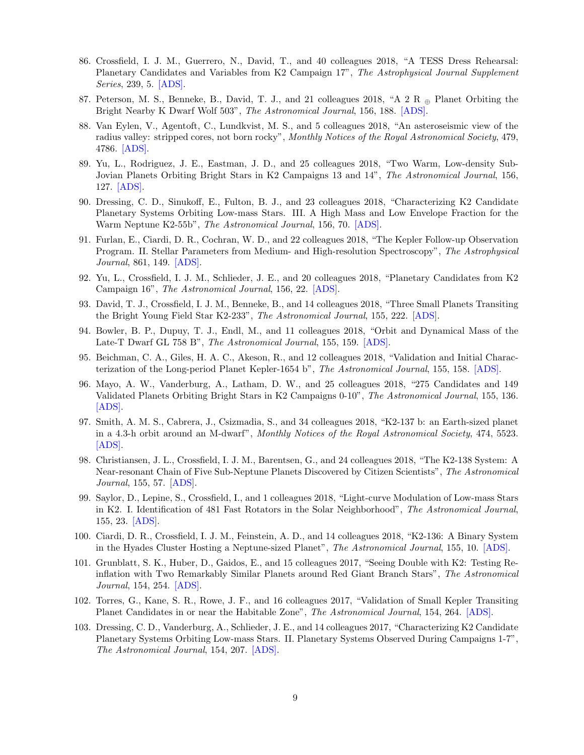- 86. Crossfield, I. J. M., Guerrero, N., David, T., and 40 colleagues 2018, "A TESS Dress Rehearsal: Planetary Candidates and Variables from K2 Campaign 17", The Astrophysical Journal Supplement Series, 239, 5. [\[ADS\].](https://ui.adsabs.harvard.edu/abs/2018ApJS..239....5C)
- 87. Peterson, M. S., Benneke, B., David, T. J., and 21 colleagues 2018, "A 2 R <sup>⊕</sup> Planet Orbiting the Bright Nearby K Dwarf Wolf 503", The Astronomical Journal, 156, 188. [\[ADS\].](https://ui.adsabs.harvard.edu/abs/2018AJ....156..188P)
- 88. Van Eylen, V., Agentoft, C., Lundkvist, M. S., and 5 colleagues 2018, "An asteroseismic view of the radius valley: stripped cores, not born rocky", Monthly Notices of the Royal Astronomical Society, 479, 4786. [\[ADS\].](https://ui.adsabs.harvard.edu/abs/2018MNRAS.479.4786V)
- 89. Yu, L., Rodriguez, J. E., Eastman, J. D., and 25 colleagues 2018, "Two Warm, Low-density Sub-Jovian Planets Orbiting Bright Stars in K2 Campaigns 13 and 14", The Astronomical Journal, 156, 127. [\[ADS\].](https://ui.adsabs.harvard.edu/abs/2018AJ....156..127Y)
- 90. Dressing, C. D., Sinukoff, E., Fulton, B. J., and 23 colleagues 2018, "Characterizing K2 Candidate Planetary Systems Orbiting Low-mass Stars. III. A High Mass and Low Envelope Fraction for the Warm Neptune K2-55b", The Astronomical Journal, 156, 70. [\[ADS\].](https://ui.adsabs.harvard.edu/abs/2018AJ....156...70D)
- 91. Furlan, E., Ciardi, D. R., Cochran, W. D., and 22 colleagues 2018, "The Kepler Follow-up Observation Program. II. Stellar Parameters from Medium- and High-resolution Spectroscopy", The Astrophysical Journal, 861, 149. [\[ADS\].](https://ui.adsabs.harvard.edu/abs/2018ApJ...861..149F)
- 92. Yu, L., Crossfield, I. J. M., Schlieder, J. E., and 20 colleagues 2018, "Planetary Candidates from K2 Campaign 16", The Astronomical Journal, 156, 22. [\[ADS\].](https://ui.adsabs.harvard.edu/abs/2018AJ....156...22Y)
- 93. David, T. J., Crossfield, I. J. M., Benneke, B., and 14 colleagues 2018, "Three Small Planets Transiting the Bright Young Field Star K2-233", The Astronomical Journal, 155, 222. [\[ADS\].](https://ui.adsabs.harvard.edu/abs/2018AJ....155..222D)
- 94. Bowler, B. P., Dupuy, T. J., Endl, M., and 11 colleagues 2018, "Orbit and Dynamical Mass of the Late-T Dwarf GL 758 B", The Astronomical Journal, 155, 159. [\[ADS\].](https://ui.adsabs.harvard.edu/abs/2018AJ....155..159B)
- 95. Beichman, C. A., Giles, H. A. C., Akeson, R., and 12 colleagues 2018, "Validation and Initial Characterization of the Long-period Planet Kepler-1654 b", The Astronomical Journal, 155, 158. [\[ADS\].](https://ui.adsabs.harvard.edu/abs/2018AJ....155..158B)
- 96. Mayo, A. W., Vanderburg, A., Latham, D. W., and 25 colleagues 2018, "275 Candidates and 149 Validated Planets Orbiting Bright Stars in K2 Campaigns 0-10", The Astronomical Journal, 155, 136. [\[ADS\].](https://ui.adsabs.harvard.edu/abs/2018AJ....155..136M)
- 97. Smith, A. M. S., Cabrera, J., Csizmadia, S., and 34 colleagues 2018, "K2-137 b: an Earth-sized planet in a 4.3-h orbit around an M-dwarf", Monthly Notices of the Royal Astronomical Society, 474, 5523. [\[ADS\].](https://ui.adsabs.harvard.edu/abs/2018MNRAS.474.5523S)
- 98. Christiansen, J. L., Crossfield, I. J. M., Barentsen, G., and 24 colleagues 2018, "The K2-138 System: A Near-resonant Chain of Five Sub-Neptune Planets Discovered by Citizen Scientists", The Astronomical Journal, 155, 57. [\[ADS\].](https://ui.adsabs.harvard.edu/abs/2018AJ....155...57C)
- 99. Saylor, D., Lepine, S., Crossfield, I., and 1 colleagues 2018, "Light-curve Modulation of Low-mass Stars in K2. I. Identification of 481 Fast Rotators in the Solar Neighborhood", The Astronomical Journal, 155, 23. [\[ADS\].](https://ui.adsabs.harvard.edu/abs/2018AJ....155...23S)
- 100. Ciardi, D. R., Crossfield, I. J. M., Feinstein, A. D., and 14 colleagues 2018, "K2-136: A Binary System in the Hyades Cluster Hosting a Neptune-sized Planet", The Astronomical Journal, 155, 10. [\[ADS\].](https://ui.adsabs.harvard.edu/abs/2018AJ....155...10C)
- 101. Grunblatt, S. K., Huber, D., Gaidos, E., and 15 colleagues 2017, "Seeing Double with K2: Testing Reinflation with Two Remarkably Similar Planets around Red Giant Branch Stars", The Astronomical Journal, 154, 254. [\[ADS\].](https://ui.adsabs.harvard.edu/abs/2017AJ....154..254G)
- 102. Torres, G., Kane, S. R., Rowe, J. F., and 16 colleagues 2017, "Validation of Small Kepler Transiting Planet Candidates in or near the Habitable Zone", The Astronomical Journal, 154, 264. [\[ADS\].](https://ui.adsabs.harvard.edu/abs/2017AJ....154..264T)
- 103. Dressing, C. D., Vanderburg, A., Schlieder, J. E., and 14 colleagues 2017, "Characterizing K2 Candidate Planetary Systems Orbiting Low-mass Stars. II. Planetary Systems Observed During Campaigns 1-7", The Astronomical Journal, 154, 207. [\[ADS\].](https://ui.adsabs.harvard.edu/abs/2017AJ....154..207D)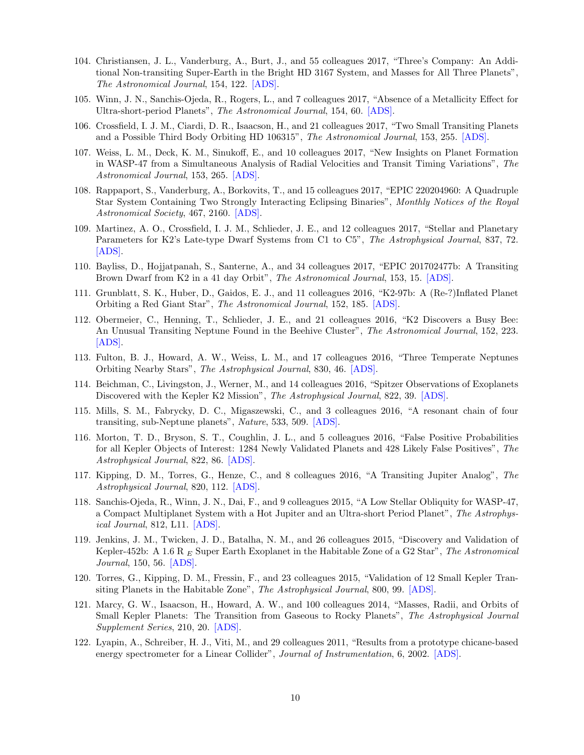- 104. Christiansen, J. L., Vanderburg, A., Burt, J., and 55 colleagues 2017, "Three's Company: An Additional Non-transiting Super-Earth in the Bright HD 3167 System, and Masses for All Three Planets", The Astronomical Journal, 154, 122. [\[ADS\].](https://ui.adsabs.harvard.edu/abs/2017AJ....154..122C)
- 105. Winn, J. N., Sanchis-Ojeda, R., Rogers, L., and 7 colleagues 2017, "Absence of a Metallicity Effect for Ultra-short-period Planets", The Astronomical Journal, 154, 60. [\[ADS\].](https://ui.adsabs.harvard.edu/abs/2017AJ....154...60W)
- 106. Crossfield, I. J. M., Ciardi, D. R., Isaacson, H., and 21 colleagues 2017, "Two Small Transiting Planets and a Possible Third Body Orbiting HD 106315", The Astronomical Journal, 153, 255. [\[ADS\].](https://ui.adsabs.harvard.edu/abs/2017AJ....153..255C)
- 107. Weiss, L. M., Deck, K. M., Sinukoff, E., and 10 colleagues 2017, "New Insights on Planet Formation in WASP-47 from a Simultaneous Analysis of Radial Velocities and Transit Timing Variations", The Astronomical Journal, 153, 265. [\[ADS\].](https://ui.adsabs.harvard.edu/abs/2017AJ....153..265W)
- 108. Rappaport, S., Vanderburg, A., Borkovits, T., and 15 colleagues 2017, "EPIC 220204960: A Quadruple Star System Containing Two Strongly Interacting Eclipsing Binaries", Monthly Notices of the Royal Astronomical Society, 467, 2160. [\[ADS\].](https://ui.adsabs.harvard.edu/abs/2017MNRAS.467.2160R)
- 109. Martinez, A. O., Crossfield, I. J. M., Schlieder, J. E., and 12 colleagues 2017, "Stellar and Planetary Parameters for K2's Late-type Dwarf Systems from C1 to C5", The Astrophysical Journal, 837, 72. [\[ADS\].](https://ui.adsabs.harvard.edu/abs/2017ApJ...837...72M)
- 110. Bayliss, D., Hojjatpanah, S., Santerne, A., and 34 colleagues 2017, "EPIC 201702477b: A Transiting Brown Dwarf from K2 in a 41 day Orbit", The Astronomical Journal, 153, 15. [\[ADS\].](https://ui.adsabs.harvard.edu/abs/2017AJ....153...15B)
- 111. Grunblatt, S. K., Huber, D., Gaidos, E. J., and 11 colleagues 2016, "K2-97b: A (Re-?)Inflated Planet Orbiting a Red Giant Star", The Astronomical Journal, 152, 185. [\[ADS\].](https://ui.adsabs.harvard.edu/abs/2016AJ....152..185G)
- 112. Obermeier, C., Henning, T., Schlieder, J. E., and 21 colleagues 2016, "K2 Discovers a Busy Bee: An Unusual Transiting Neptune Found in the Beehive Cluster", The Astronomical Journal, 152, 223. [\[ADS\].](https://ui.adsabs.harvard.edu/abs/2016AJ....152..223O)
- 113. Fulton, B. J., Howard, A. W., Weiss, L. M., and 17 colleagues 2016, "Three Temperate Neptunes Orbiting Nearby Stars", The Astrophysical Journal, 830, 46. [\[ADS\].](https://ui.adsabs.harvard.edu/abs/2016ApJ...830...46F)
- 114. Beichman, C., Livingston, J., Werner, M., and 14 colleagues 2016, "Spitzer Observations of Exoplanets Discovered with the Kepler K2 Mission", The Astrophysical Journal, 822, 39. [\[ADS\].](https://ui.adsabs.harvard.edu/abs/2016ApJ...822...39B)
- 115. Mills, S. M., Fabrycky, D. C., Migaszewski, C., and 3 colleagues 2016, "A resonant chain of four transiting, sub-Neptune planets", Nature, 533, 509. [\[ADS\].](https://ui.adsabs.harvard.edu/abs/2016Natur.533..509M)
- 116. Morton, T. D., Bryson, S. T., Coughlin, J. L., and 5 colleagues 2016, "False Positive Probabilities for all Kepler Objects of Interest: 1284 Newly Validated Planets and 428 Likely False Positives", The Astrophysical Journal, 822, 86. [\[ADS\].](https://ui.adsabs.harvard.edu/abs/2016ApJ...822...86M)
- 117. Kipping, D. M., Torres, G., Henze, C., and 8 colleagues 2016, "A Transiting Jupiter Analog", The Astrophysical Journal, 820, 112. [\[ADS\].](https://ui.adsabs.harvard.edu/abs/2016ApJ...820..112K)
- 118. Sanchis-Ojeda, R., Winn, J. N., Dai, F., and 9 colleagues 2015, "A Low Stellar Obliquity for WASP-47, a Compact Multiplanet System with a Hot Jupiter and an Ultra-short Period Planet", The Astrophysical Journal, 812, L11. [\[ADS\].](https://ui.adsabs.harvard.edu/abs/2015ApJ...812L..11S)
- 119. Jenkins, J. M., Twicken, J. D., Batalha, N. M., and 26 colleagues 2015, "Discovery and Validation of Kepler-452b: A 1.6 R  $_E$  Super Earth Exoplanet in the Habitable Zone of a G2 Star", The Astronomical Journal, 150, 56. [\[ADS\].](https://ui.adsabs.harvard.edu/abs/2015AJ....150...56J)
- 120. Torres, G., Kipping, D. M., Fressin, F., and 23 colleagues 2015, "Validation of 12 Small Kepler Transiting Planets in the Habitable Zone", The Astrophysical Journal, 800, 99. [\[ADS\].](https://ui.adsabs.harvard.edu/abs/2015ApJ...800...99T)
- 121. Marcy, G. W., Isaacson, H., Howard, A. W., and 100 colleagues 2014, "Masses, Radii, and Orbits of Small Kepler Planets: The Transition from Gaseous to Rocky Planets", The Astrophysical Journal Supplement Series, 210, 20. [\[ADS\].](https://ui.adsabs.harvard.edu/abs/2014ApJS..210...20M)
- 122. Lyapin, A., Schreiber, H. J., Viti, M., and 29 colleagues 2011, "Results from a prototype chicane-based energy spectrometer for a Linear Collider", Journal of Instrumentation, 6, 2002. [\[ADS\].](https://ui.adsabs.harvard.edu/abs/2011JInst...6.2002L)